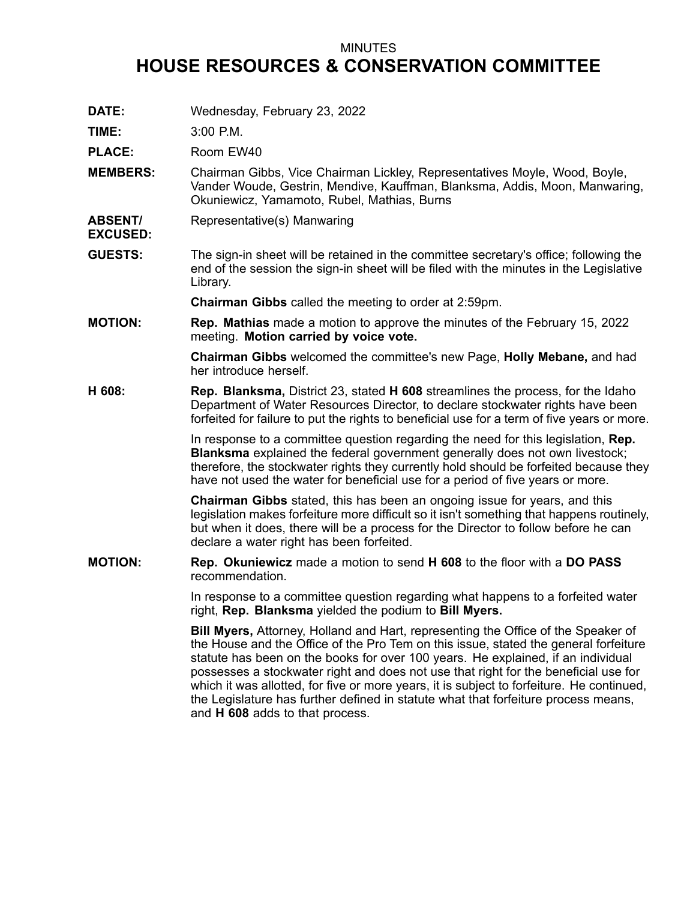## MINUTES

## **HOUSE RESOURCES & CONSERVATION COMMITTEE**

**DATE:** Wednesday, February 23, 2022

**TIME:** 3:00 P.M.

PLACE: Room EW40

- **MEMBERS:** Chairman Gibbs, Vice Chairman Lickley, Representatives Moyle, Wood, Boyle, Vander Woude, Gestrin, Mendive, Kauffman, Blanksma, Addis, Moon, Manwaring, Okuniewicz, Yamamoto, Rubel, Mathias, Burns
- **ABSENT/ EXCUSED:** Representative(s) Manwaring
- **GUESTS:** The sign-in sheet will be retained in the committee secretary's office; following the end of the session the sign-in sheet will be filed with the minutes in the Legislative Library.

**Chairman Gibbs** called the meeting to order at 2:59pm.

**MOTION: Rep. Mathias** made <sup>a</sup> motion to approve the minutes of the February 15, 2022 meeting. **Motion carried by voice vote.**

> **Chairman Gibbs** welcomed the committee's new Page, **Holly Mebane,** and had her introduce herself.

**H 608: Rep. Blanksma,** District 23, stated **H 608** streamlines the process, for the Idaho Department of Water Resources Director, to declare stockwater rights have been forfeited for failure to put the rights to beneficial use for <sup>a</sup> term of five years or more.

> In response to <sup>a</sup> committee question regarding the need for this legislation, **Rep. Blanksma** explained the federal government generally does not own livestock; therefore, the stockwater rights they currently hold should be forfeited because they have not used the water for beneficial use for <sup>a</sup> period of five years or more.

> **Chairman Gibbs** stated, this has been an ongoing issue for years, and this legislation makes forfeiture more difficult so it isn't something that happens routinely, but when it does, there will be <sup>a</sup> process for the Director to follow before he can declare <sup>a</sup> water right has been forfeited.

**MOTION: Rep. Okuniewicz** made <sup>a</sup> motion to send **H 608** to the floor with <sup>a</sup> **DO PASS** recommendation.

> In response to <sup>a</sup> committee question regarding what happens to <sup>a</sup> forfeited water right, **Rep. Blanksma** yielded the podium to **Bill Myers.**

**Bill Myers,** Attorney, Holland and Hart, representing the Office of the Speaker of the House and the Office of the Pro Tem on this issue, stated the general forfeiture statute has been on the books for over 100 years. He explained, if an individual possesses <sup>a</sup> stockwater right and does not use that right for the beneficial use for which it was allotted, for five or more years, it is subject to forfeiture. He continued, the Legislature has further defined in statute what that forfeiture process means, and **H 608** adds to that process.